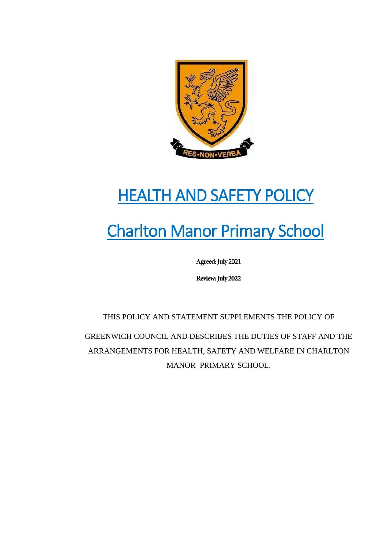

# HEALTH AND SAFETY POLICY

# Charlton Manor Primary School

**Agreed: July** 202**1**

**Review: July 2022**

THIS POLICY AND STATEMENT SUPPLEMENTS THE POLICY OF GREENWICH COUNCIL AND DESCRIBES THE DUTIES OF STAFF AND THE ARRANGEMENTS FOR HEALTH, SAFETY AND WELFARE IN CHARLTON MANOR PRIMARY SCHOOL.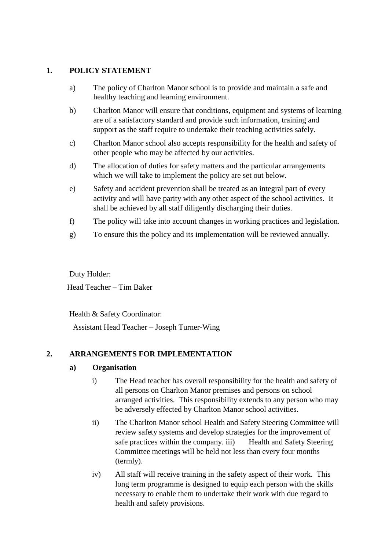## **1. POLICY STATEMENT**

- a) The policy of Charlton Manor school is to provide and maintain a safe and healthy teaching and learning environment.
- b) Charlton Manor will ensure that conditions, equipment and systems of learning are of a satisfactory standard and provide such information, training and support as the staff require to undertake their teaching activities safely.
- c) Charlton Manor school also accepts responsibility for the health and safety of other people who may be affected by our activities.
- d) The allocation of duties for safety matters and the particular arrangements which we will take to implement the policy are set out below.
- e) Safety and accident prevention shall be treated as an integral part of every activity and will have parity with any other aspect of the school activities. It shall be achieved by all staff diligently discharging their duties.
- f) The policy will take into account changes in working practices and legislation.
- g) To ensure this the policy and its implementation will be reviewed annually.

Duty Holder:

Head Teacher – Tim Baker

Health & Safety Coordinator:

Assistant Head Teacher – Joseph Turner-Wing

# **2. ARRANGEMENTS FOR IMPLEMENTATION**

#### **a) Organisation**

- i) The Head teacher has overall responsibility for the health and safety of all persons on Charlton Manor premises and persons on school arranged activities. This responsibility extends to any person who may be adversely effected by Charlton Manor school activities.
- ii) The Charlton Manor school Health and Safety Steering Committee will review safety systems and develop strategies for the improvement of safe practices within the company. iii) Health and Safety Steering Committee meetings will be held not less than every four months (termly).
- iv) All staff will receive training in the safety aspect of their work. This long term programme is designed to equip each person with the skills necessary to enable them to undertake their work with due regard to health and safety provisions.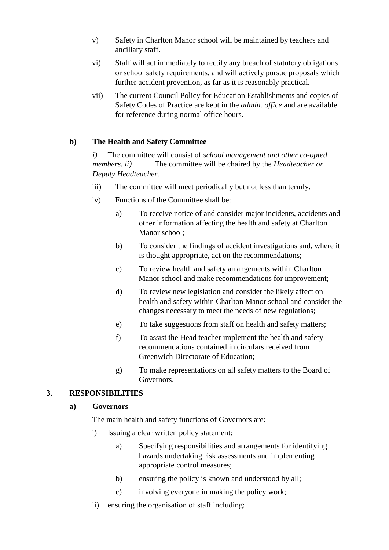- v) Safety in Charlton Manor school will be maintained by teachers and ancillary staff.
- vi) Staff will act immediately to rectify any breach of statutory obligations or school safety requirements, and will actively pursue proposals which further accident prevention, as far as it is reasonably practical.
- vii) The current Council Policy for Education Establishments and copies of Safety Codes of Practice are kept in the *admin. office* and are available for reference during normal office hours.

## **b) The Health and Safety Committee**

*i)* The committee will consist of *school management and other co-opted members. ii)* The committee will be chaired by the *Headteacher or Deputy Headteacher.* 

- iii) The committee will meet periodically but not less than termly.
- iv) Functions of the Committee shall be:
	- a) To receive notice of and consider major incidents, accidents and other information affecting the health and safety at Charlton Manor school;
	- b) To consider the findings of accident investigations and, where it is thought appropriate, act on the recommendations;
	- c) To review health and safety arrangements within Charlton Manor school and make recommendations for improvement;
	- d) To review new legislation and consider the likely affect on health and safety within Charlton Manor school and consider the changes necessary to meet the needs of new regulations;
	- e) To take suggestions from staff on health and safety matters;
	- f) To assist the Head teacher implement the health and safety recommendations contained in circulars received from Greenwich Directorate of Education;
	- g) To make representations on all safety matters to the Board of Governors.

#### **3. RESPONSIBILITIES**

#### **a) Governors**

The main health and safety functions of Governors are:

- i) Issuing a clear written policy statement:
	- a) Specifying responsibilities and arrangements for identifying hazards undertaking risk assessments and implementing appropriate control measures;
	- b) ensuring the policy is known and understood by all;
	- c) involving everyone in making the policy work;
- ii) ensuring the organisation of staff including: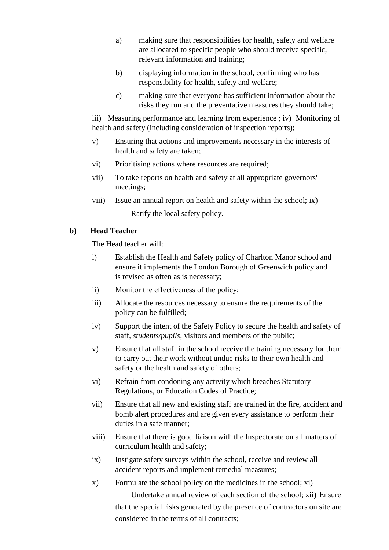- a) making sure that responsibilities for health, safety and welfare are allocated to specific people who should receive specific, relevant information and training;
- b) displaying information in the school, confirming who has responsibility for health, safety and welfare;
- c) making sure that everyone has sufficient information about the risks they run and the preventative measures they should take;

iii) Measuring performance and learning from experience ; iv) Monitoring of health and safety (including consideration of inspection reports);

- v) Ensuring that actions and improvements necessary in the interests of health and safety are taken;
- vi) Prioritising actions where resources are required;
- vii) To take reports on health and safety at all appropriate governors' meetings;
- viii) Issue an annual report on health and safety within the school; ix) Ratify the local safety policy.

#### **b) Head Teacher**

The Head teacher will:

- i) Establish the Health and Safety policy of Charlton Manor school and ensure it implements the London Borough of Greenwich policy and is revised as often as is necessary;
- ii) Monitor the effectiveness of the policy;
- iii) Allocate the resources necessary to ensure the requirements of the policy can be fulfilled;
- iv) Support the intent of the Safety Policy to secure the health and safety of staff, *students/pupils*, visitors and members of the public;
- v) Ensure that all staff in the school receive the training necessary for them to carry out their work without undue risks to their own health and safety or the health and safety of others;
- vi) Refrain from condoning any activity which breaches Statutory Regulations, or Education Codes of Practice;
- vii) Ensure that all new and existing staff are trained in the fire, accident and bomb alert procedures and are given every assistance to perform their duties in a safe manner;
- viii) Ensure that there is good liaison with the Inspectorate on all matters of curriculum health and safety;
- ix) Instigate safety surveys within the school, receive and review all accident reports and implement remedial measures;
- x) Formulate the school policy on the medicines in the school; xi) Undertake annual review of each section of the school; xii) Ensure that the special risks generated by the presence of contractors on site are considered in the terms of all contracts;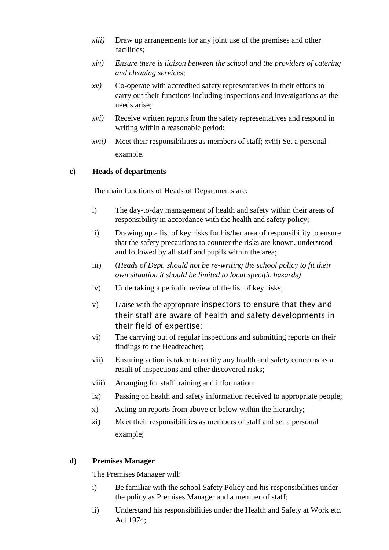- *xiii)* Draw up arrangements for any joint use of the premises and other facilities;
- *xiv) Ensure there is liaison between the school and the providers of catering and cleaning services;*
- *xv)* Co-operate with accredited safety representatives in their efforts to carry out their functions including inspections and investigations as the needs arise;
- *xvi)* Receive written reports from the safety representatives and respond in writing within a reasonable period;
- *xvii)* Meet their responsibilities as members of staff; xviii) Set a personal example.

#### **c) Heads of departments**

The main functions of Heads of Departments are:

- i) The day-to-day management of health and safety within their areas of responsibility in accordance with the health and safety policy;
- ii) Drawing up a list of key risks for his/her area of responsibility to ensure that the safety precautions to counter the risks are known, understood and followed by all staff and pupils within the area;
- iii) (*Heads of Dept. should not be re-writing the school policy to fit their own situation it should be limited to local specific hazards)*
- iv) Undertaking a periodic review of the list of key risks;
- v) Liaise with the appropriate inspectors to ensure that they and their staff are aware of health and safety developments in their field of expertise;
- vi) The carrying out of regular inspections and submitting reports on their findings to the Headteacher;
- vii) Ensuring action is taken to rectify any health and safety concerns as a result of inspections and other discovered risks;
- viii) Arranging for staff training and information;
- ix) Passing on health and safety information received to appropriate people;
- x) Acting on reports from above or below within the hierarchy;
- xi) Meet their responsibilities as members of staff and set a personal example;

#### **d) Premises Manager**

The Premises Manager will:

- i) Be familiar with the school Safety Policy and his responsibilities under the policy as Premises Manager and a member of staff;
- ii) Understand his responsibilities under the Health and Safety at Work etc. Act 1974;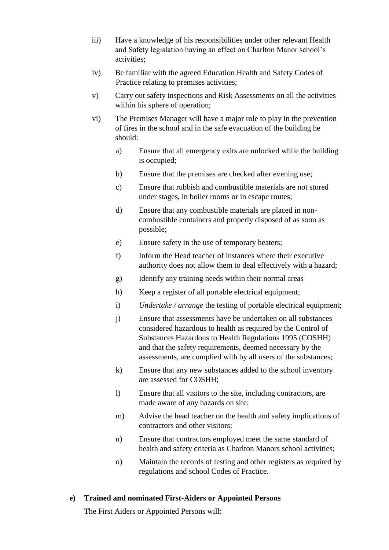- iii) Have a knowledge of his responsibilities under other relevant Health and Safety legislation having an effect on Charlton Manor school's activities;
- iv) Be familiar with the agreed Education Health and Safety Codes of Practice relating to premises activities;
- v) Carry out safety inspections and Risk Assessments on all the activities within his sphere of operation;
- vi) The Premises Manager will have a major role to play in the prevention of fires in the school and in the safe evacuation of the building he should:
	- a) Ensure that all emergency exits are unlocked while the building is occupied;
	- b) Ensure that the premises are checked after evening use;
	- c) Ensure that rubbish and combustible materials are not stored under stages, in boiler rooms or in escape routes;
	- d) Ensure that any combustible materials are placed in noncombustible containers and properly disposed of as soon as possible;
	- e) Ensure safety in the use of temporary heaters;
	- f) Inform the Head teacher of instances where their executive authority does not allow them to deal effectively with a hazard;
	- g) Identify any training needs within their normal areas
	- h) Keep a register of all portable electrical equipment;
	- i) *Undertake / arrange* the testing of portable electrical equipment;
	- j) Ensure that assessments have be undertaken on all substances considered hazardous to health as required by the Control of Substances Hazardous to Health Regulations 1995 (COSHH) and that the safety requirements, deemed necessary by the assessments, are complied with by all users of the substances;
	- k) Ensure that any new substances added to the school inventory are assessed for COSHH;
	- l) Ensure that all visitors to the site, including contractors, are made aware of any hazards on site;
	- m) Advise the head teacher on the health and safety implications of contractors and other visitors;
	- n) Ensure that contractors employed meet the same standard of health and safety criteria as Charlton Manors school activities;
	- o) Maintain the records of testing and other registers as required by regulations and school Codes of Practice.

#### **e) Trained and nominated First-Aiders or Appointed Persons**

The First Aiders or Appointed Persons will: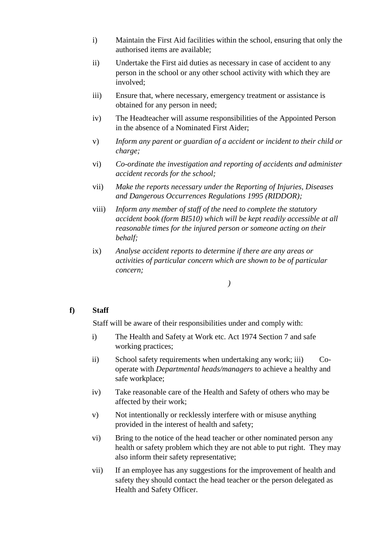- i) Maintain the First Aid facilities within the school, ensuring that only the authorised items are available;
- ii) Undertake the First aid duties as necessary in case of accident to any person in the school or any other school activity with which they are involved;
- iii) Ensure that, where necessary, emergency treatment or assistance is obtained for any person in need;
- iv) The Headteacher will assume responsibilities of the Appointed Person in the absence of a Nominated First Aider;
- v) *Inform any parent or guardian of a accident or incident to their child or charge;*
- vi) *Co-ordinate the investigation and reporting of accidents and administer accident records for the school;*
- vii) *Make the reports necessary under the Reporting of Injuries, Diseases and Dangerous Occurrences Regulations 1995 (RIDDOR);*
- viii) *Inform any member of staff of the need to complete the statutory accident book (form BI510) which will be kept readily accessible at all reasonable times for the injured person or someone acting on their behalf;*
- ix) *Analyse accident reports to determine if there are any areas or activities of particular concern which are shown to be of particular concern;*

#### *)*

#### **f) Staff**

Staff will be aware of their responsibilities under and comply with:

- i) The Health and Safety at Work etc. Act 1974 Section 7 and safe working practices;
- ii) School safety requirements when undertaking any work; iii) Cooperate with *Departmental heads/managers* to achieve a healthy and safe workplace;
- iv) Take reasonable care of the Health and Safety of others who may be affected by their work;
- v) Not intentionally or recklessly interfere with or misuse anything provided in the interest of health and safety;
- vi) Bring to the notice of the head teacher or other nominated person any health or safety problem which they are not able to put right. They may also inform their safety representative;
- vii) If an employee has any suggestions for the improvement of health and safety they should contact the head teacher or the person delegated as Health and Safety Officer.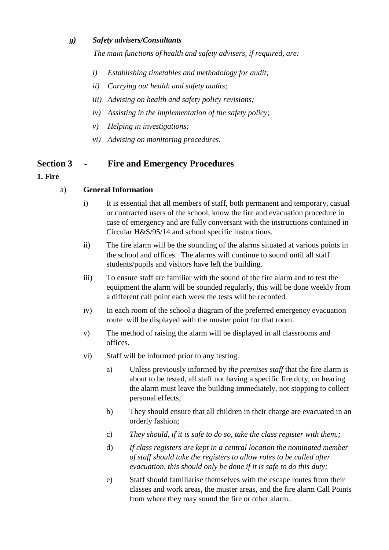#### *g) Safety advisers/Consultants*

*The main functions of health and safety advisers, if required, are:* 

- *i) Establishing timetables and methodology for audit;*
- *ii) Carrying out health and safety audits;*
- *iii) Advising on health and safety policy revisions;*
- *iv) Assisting in the implementation of the safety policy;*
- *v) Helping in investigations;*
- *vi) Advising on monitoring procedures.*

# **Section 3 - Fire and Emergency Procedures**

## **1. Fire**

## a) **General Information**

- i) It is essential that all members of staff, both permanent and temporary, casual or contracted users of the school, know the fire and evacuation procedure in case of emergency and are fully conversant with the instructions contained in Circular H&S/95/14 and school specific instructions.
- ii) The fire alarm will be the sounding of the alarms situated at various points in the school and offices. The alarms will continue to sound until all staff students/pupils and visitors have left the building.
- iii) To ensure staff are familiar with the sound of the fire alarm and to test the equipment the alarm will be sounded regularly, this will be done weekly from a different call point each week the tests will be recorded.
- iv) In each room of the school a diagram of the preferred emergency evacuation route will be displayed with the muster point for that room.
- v) The method of raising the alarm will be displayed in all classrooms and offices.
- vi) Staff will be informed prior to any testing.
	- a) Unless previously informed by *the premises staff* that the fire alarm is about to be tested, all staff not having a specific fire duty, on hearing the alarm must leave the building immediately, not stopping to collect personal effects;
	- b) They should ensure that all children in their charge are evacuated in an orderly fashion;
	- c) *They should, if it is safe to do so, take the class register with them.;*
	- d) *If class registers are kept in a central location the nominated member of staff should take the registers to allow roles to be called after evacuation, this should only be done if it is safe to do this duty;*
	- e) Staff should familiarise themselves with the escape routes from their classes and work areas, the muster areas, and the fire alarm Call Points from where they may sound the fire or other alarm..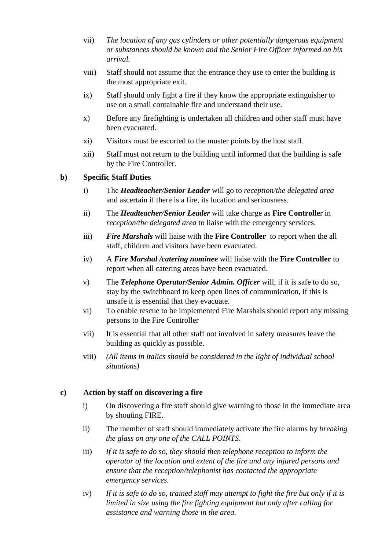- vii) *The location of any gas cylinders or other potentially dangerous equipment or substances should be known and the Senior Fire Officer informed on his arrival.*
- viii) Staff should not assume that the entrance they use to enter the building is the most appropriate exit.
- ix) Staff should only fight a fire if they know the appropriate extinguisher to use on a small containable fire and understand their use.
- x) Before any firefighting is undertaken all children and other staff must have been evacuated.
- xi) Visitors must be escorted to the muster points by the host staff.
- xii) Staff must not return to the building until informed that the building is safe by the Fire Controller.

#### **b) Specific Staff Duties**

- i) The *Headteacher/Senior Leader* will go to *reception/the delegated area* and ascertain if there is a fire, its location and seriousness.
- ii) The *Headteacher/Senior Leader* will take charge as **Fire Controlle**r in *reception/the delegated area* to liaise with the emergency services.
- iii) *Fire Marshals* will liaise with the **Fire Controller** to report when the all staff, children and visitors have been evacuated.
- iv) A *Fire Marshal /catering nominee* will liaise with the **Fire Controller** to report when all catering areas have been evacuated.
- v) The *Telephone Operator/Senior Admin. Officer* will, if it is safe to do so, stay by the switchboard to keep open lines of communication, if this is unsafe it is essential that they evacuate.
- vi) To enable rescue to be implemented Fire Marshals should report any missing persons to the Fire Controller
- vii) It is essential that all other staff not involved in safety measures leave the building as quickly as possible.
- viii) *(All items in italics should be considered in the light of individual school situations)*

#### **c) Action by staff on discovering a fire**

- i) On discovering a fire staff should give warning to those in the immediate area by shouting FIRE.
- ii) The member of staff should immediately activate the fire alarms by *breaking the glass on any one of the CALL POINTS*.
- iii) *If it is safe to do so, they should then telephone reception to inform the operator of the location and extent of the fire and any injured persons and ensure that the reception/telephonist has contacted the appropriate emergency services.*
- iv) *If it is safe to do so, trained staff may attempt to fight the fire but only if it is limited in size using the fire fighting equipment but only after calling for assistance and warning those in the area.*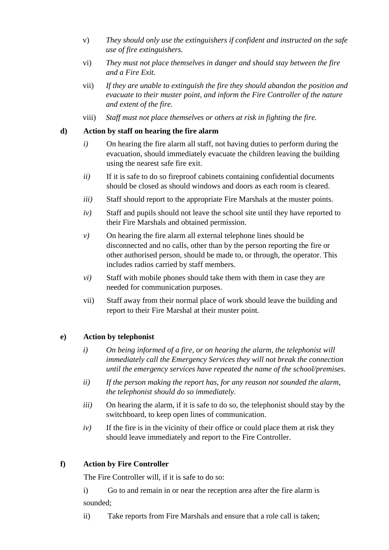- v) *They should only use the extinguishers if confident and instructed on the safe use of fire extinguishers.*
- vi) *They must not place themselves in danger and should stay between the fire and a Fire Exit.*
- vii) *If they are unable to extinguish the fire they should abandon the position and evacuate to their muster point, and inform the Fire Controller of the nature and extent of the fire.*
- viii) *Staff must not place themselves or others at risk in fighting the fire.*

#### **d) Action by staff on hearing the fire alarm**

- *i*) On hearing the fire alarm all staff, not having duties to perform during the evacuation, should immediately evacuate the children leaving the building using the nearest safe fire exit.
- *ii)* If it is safe to do so fireproof cabinets containing confidential documents should be closed as should windows and doors as each room is cleared.
- *iii)* Staff should report to the appropriate Fire Marshals at the muster points.
- *iv)* Staff and pupils should not leave the school site until they have reported to their Fire Marshals and obtained permission.
- *v*) On hearing the fire alarm all external telephone lines should be disconnected and no calls, other than by the person reporting the fire or other authorised person, should be made to, or through, the operator. This includes radios carried by staff members.
- *vi)* Staff with mobile phones should take them with them in case they are needed for communication purposes.
- vii) Staff away from their normal place of work should leave the building and report to their Fire Marshal at their muster point.

#### **e) Action by telephonist**

- *i) On being informed of a fire, or on hearing the alarm, the telephonist will immediately call the Emergency Services they will not break the connection until the emergency services have repeated the name of the school/premises.*
- *ii) If the person making the report has, for any reason not sounded the alarm, the telephonist should do so immediately.*
- *iii*) On hearing the alarm, if it is safe to do so, the telephonist should stay by the switchboard, to keep open lines of communication.
- *iv)* If the fire is in the vicinity of their office or could place them at risk they should leave immediately and report to the Fire Controller.

# **f) Action by Fire Controller**

The Fire Controller will, if it is safe to do so:

i) Go to and remain in or near the reception area after the fire alarm is sounded;

ii) Take reports from Fire Marshals and ensure that a role call is taken;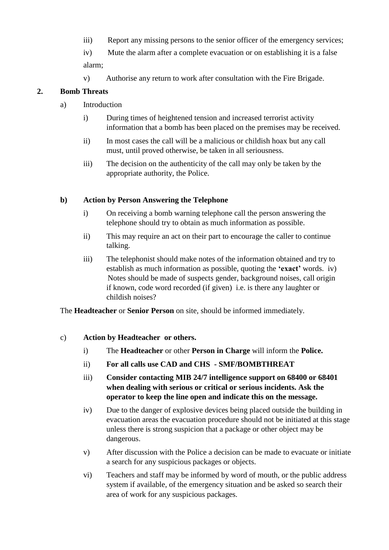- iii) Report any missing persons to the senior officer of the emergency services;
- iv) Mute the alarm after a complete evacuation or on establishing it is a false alarm;
- v) Authorise any return to work after consultation with the Fire Brigade.

# **2. Bomb Threats**

- a) Introduction
	- i) During times of heightened tension and increased terrorist activity information that a bomb has been placed on the premises may be received.
	- ii) In most cases the call will be a malicious or childish hoax but any call must, until proved otherwise, be taken in all seriousness.
	- iii) The decision on the authenticity of the call may only be taken by the appropriate authority, the Police.

#### **b) Action by Person Answering the Telephone**

- i) On receiving a bomb warning telephone call the person answering the telephone should try to obtain as much information as possible.
- ii) This may require an act on their part to encourage the caller to continue talking.
- iii) The telephonist should make notes of the information obtained and try to establish as much information as possible, quoting the **'exact'** words. iv) Notes should be made of suspects gender, background noises, call origin if known, code word recorded (if given) i.e. is there any laughter or childish noises?

The **Headteacher** or **Senior Person** on site, should be informed immediately.

#### c) **Action by Headteacher or others.**

- i) The **Headteacher** or other **Person in Charge** will inform the **Police.**
- ii) **For all calls use CAD and CHS - SMF/BOMBTHREAT**
- iii) **Consider contacting MIB 24/7 intelligence support on 68400 or 68401 when dealing with serious or critical or serious incidents. Ask the operator to keep the line open and indicate this on the message.**
- iv) Due to the danger of explosive devices being placed outside the building in evacuation areas the evacuation procedure should not be initiated at this stage unless there is strong suspicion that a package or other object may be dangerous.
- v) After discussion with the Police a decision can be made to evacuate or initiate a search for any suspicious packages or objects.
- vi) Teachers and staff may be informed by word of mouth, or the public address system if available, of the emergency situation and be asked so search their area of work for any suspicious packages.